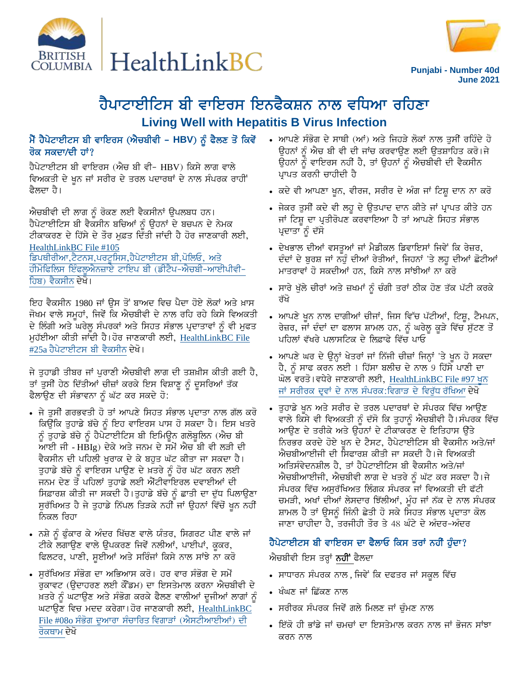



Punjabi - Number 40d **June 2021** 

# ਹੈਪਾਟਾਈਟਿਸ ਬੀ ਵਾਇਰਸ ਇਨਫੈਕਸ਼ਨ ਨਾਲ ਵਧਿਆ ਰਹਿਣਾ **Living Well with Hepatitis B Virus Infection**

#### ਮੈਂ ਹੈਪੇਟਾਈਟਸ ਬੀ ਵਾਇਰਸ (ਐਚਬੀਵੀ - HBV) ਨੂੰ ਫੈਲਣ ਤੋਂ ਕਿਵੇਂ ਰੋਕ ਸਕਦਾ/ਦੀ ਹਾਂ?

ਹੈਪੇਟਾਈਟਸ ਬੀ ਵਾਇਰਸ (ਐਚ ਬੀ ਵੀ- HBV) ਕਿਸੇ ਲਾਗ ਵਾਲੇ ਵਿਅਕਤੀ ਦੇ ਖੂਨ ਜਾਂ ਸਰੀਰ ਦੇ ਤਰਲ ਪਦਾਰਥਾਂ ਦੇ ਨਾਲ ਸੰਪਰਕ ਰਾਹੀਂ ਫੈਲਦਾ ਹੈ।

ਐਚਬੀਵੀ ਦੀ ਲਾਗ ਨੂੰ ਰੋਕਣ ਲਈ ਵੈਕਸੀਨਾਂ ਉਪਲਬਧ ਹਨ। ਹੈਪੇਟਾਈਟਿਸ ਬੀ ਵੈਕਸੀਨ ਬਚਿਆਂ ਨੂੰ ਉਹਨਾਂ ਦੇ ਬਚਪਨ ਦੇ ਨੇਮਕ ਟੀਕਾਕਰਣ ਦੇ ਹਿੱਸੇ ਦੇ ਤੌਰ ਮੁਫ਼ਤ ਦਿੱਤੀ ਜਾਂਦੀ ਹੈ ਹੋਰ ਜਾਣਕਾਰੀ ਲਈ, HealthLinkBC File #105 ਡਿਪਥੀਰੀਆ,ਟੈਟਨਸ,ਪਰਟੂਸਿਸ,ਹੈਪੇਟਾਈਟਸ ਬੀ,ਪੋਲਿਓ, ਅਤੇ ਹੀਮੋਫਿਲਿਸ ਇੰਫਲੂਐਨਜ਼ਾਏ ਟਾਇਪ ਬੀ (ਡੀਟੈਪ-ਐਚਬੀ-ਆਈਪੀਵੀ-ਹਿਬ) ਵੈਕਸੀਨ ਦੇਖੋ।

ਇਹ ਵੈਕਸੀਨ 1980 ਜਾਂ ਉਸ ਤੋਂ ਬਾਅਦ ਵਿਚ ਪੈਦਾ ਹੋਏ ਲੋਕਾਂ ਅਤੇ ਖ਼ਾਸ ਜੋਖਮ ਵਾਲੇ ਸਮੂਹਾਂ, ਜਿਵੇਂ ਕਿ ਐਚਬੀਵੀ ਦੇ ਨਾਲ ਰਹਿ ਰਹੇ ਕਿਸੇ ਵਿਅਕਤੀ ਦੇ ਲਿੰਗੀ ਅਤੇ ਘਰੇਲੂ ਸੰਪਰਕਾਂ ਅਤੇ ਸਿਹਤ ਸੰਭਾਲ ਪ੍ਰਦਾਤਾਵਾਂ ਨੂੰ ਵੀ ਮੁਫਤ ਮੁਹੱਈਆ ਕੀਤੀ ਜਾਂਦੀ ਹੈ। ਹੋਰ ਜਾਣਕਾਰੀ ਲਈ, HealthLinkBC File #25a ਹੈਪੇਟਾਈਟਸ ਬੀ ਵੈਕਸੀਨ ਦੇਖੋ।

ਜੇ ਤਹਾਡੀ ਤੀਬਰ ਜਾਂ ਪਰਾਣੀ ਐਚਬੀਵੀ ਲਾਗ ਦੀ ਤਸ਼ਖ਼ੀਸ ਕੀਤੀ ਗਈ ਹੈ, ਤਾਂ ਤੁਸੀਂ ਹੇਠ ਦਿੱਤੀਆਂ ਚੀਜ਼ਾਂ ਕਰਕੇ ਇਸ ਵਿਸ਼ਾਣੂ ਨੂੰ ਦੁਸਰਿਆਂ ਤੱਕ ਫੈਲਾਉਣ ਦੀ ਸੰਭਾਵਨਾ ਨੂੰ ਘੱਟ ਕਰ ਸਕਦੇ ਹੋ:

- ∙ ਜੇ ਤੁਸੀਂ ਗਰਭਵਤੀ ਹੋ ਤਾਂ ਆਪਣੇ ਸਿਹਤ ਸੰਭਾਲ ਪ੍ਰਦਾਤਾ ਨਾਲ ਗੱਲ ਕਰੋ ਕਿਉਂਕਿ ਤੁਹਾਡੇ ਬੱਚੇ ਨੂੰ ਇਹ ਵਾਇਰਸ ਪਾਸ ਹੋ ਸਕਦਾ ਹੈ। ਇਸ ਖਤਰੇ ਨੂੰ ਤੁਹਾਡੇ ਬੱਚੇ ਨੂੰ ਹੈਪੇਟਾਈਟਿਸ ਬੀ ਇਮਿਊਨ ਗਲੋਬੁਲਿਨ (ਐਚ ਬੀ ਆਈ ਜੀ - HBIg) ਦੇਕੇ ਅਤੇ ਜਨਮ ਦੇ ਸਮੇਂ ਐਚ ਬੀ ਵੀ ਲੜੀ ਦੀ ਵੈਕਸੀਨ ਦੀ ਪਹਿਲੀ ਖਰਾਕ ਦੇ ਕੇ ਬਹਤ ਘੱਟ ਕੀਤਾ ਜਾ ਸਕਦਾ ਹੈ। ਤਹਾਡੇ ਬੱਚੇ ਨੂੰ ਵਾਇਰਸ ਪਾਉਣ ਦੇ ਖ਼ਤਰੇ ਨੂੰ ਹੋਰ ਘੱਟ ਕਰਨ ਲਈ ਜਨਮ ਦੇਣ ਤੋਂ ਪਹਿਲਾਂ ਤਹਾਡੇ ਲਈ ਐਂਟੀਵਾਇਰਲ ਦਵਾਈਆਂ ਦੀ ਸਿਫ਼ਾਰਸ਼ ਕੀਤੀ ਜਾ ਸਕਦੀ ਹੈ।ਤੁਹਾਡੇ ਬੱਚੇ ਨੂੰ ਛਾਤੀ ਦਾ ਦੁੱਧ ਪਿਲਾਉਣਾ ਸੁਰੱਖਿਅਤ ਹੈ ਜੇ ਤੁਹਾਡੇ ਨਿੱਪਲ ਤਿੜਕੇ ਨਹੀਂ ਜਾਂ ਉਹਨਾਂ ਵਿੱਚੋਂ ਖੁਨ ਨਹੀਂ ਨਿਕਲ ਰਿਹਾ
- ਨਸ਼ੇ ਨੂੰ ਫੁੰਕਾਰ ਕੇ ਅੰਦਰ ਖਿੱਚਣ ਵਾਲੇ ਯੰਤਰ, ਸਿਗਰਟ ਪੀਣ ਵਾਲੇ ਜਾਂ ਟੀਕੇ ਲਗਾਉਣ ਵਾਲੇ ਉਪਕਰਣ ਜਿਵੇਂ ਨਲੀਆਂ, ਪਾਈਪਾਂ, ਕੁਕਰ, ਫਿਲਟਰ, ਪਾਣੀ, ਸੁਈਆਂ ਅਤੇ ਸਰਿੰਜਾਂ ਕਿਸੇ ਨਾਲ ਸਾਂਝੇ ਨਾ ਕਰੋ
- ਸੁਰੱਖਿਅਤ ਸੰਭੋਗ ਦਾ ਅਭਿਆਸ ਕਰੋ। ਹਰ ਵਾਰ ਸੰਭੋਗ ਦੇ ਸਮੇਂ ਰੁਕਾਵਟ (ਉਦਾਹਰਣ ਲਈ ਕੌਂਡਮ) ਦਾ ਇਸਤੇਮਾਲ ਕਰਨਾ ਐਚਬੀਵੀ ਦੇ ਖ਼ਤਰੇ ਨੂੰ ਘਟਾਉਣ ਅਤੇ ਸੰਭੋਗ ਕਰਕੇ ਫੈਲਣ ਵਾਲੀਆਂ ਦੂਜੀਆਂ ਲਾਗਾਂ ਨੂੰ ਘਟਾਉਣ ਵਿਚ ਮਦਦ ਕਰੇਗਾ।ਹੋਰ ਜਾਣਕਾਰੀ ਲਈ, HealthLinkBC File #08o ਸੰਭੋਗ ਦੁਆਰਾ ਸੰਚਾਰਿਤ ਵਿਗਾੜਾਂ (ਐਸਟੀਆਈਆਂ) ਦੀ ਰੋਕਥਾਮ ਦੇਖੋ
- ਆਪਣੇ ਸੰਭੋਗ ਦੇ ਸਾਥੀ (ਆਂ) ਅਤੇ ਜਿਹੜੇ ਲੋਕਾਂ ਨਾਲ ਤਸੀਂ ਰਹਿੰਦੇ ਹੋ ਉਹਨਾਂ ਨੂੰ ਐਚ ਬੀ ਵੀ ਦੀ ਜਾਂਚ ਕਰਵਾਉਣ ਲਈ ਉਤਸ਼ਾਹਿਤ ਕਰੋ।ਜੇ ਉਹਨਾਂ ਨੂੰ ਵਾਇਰਸ ਨਹੀਂ ਹੈ, ਤਾਂ ਉਹਨਾਂ ਨੂੰ ਐਚਬੀਵੀ ਦੀ ਵੈਕਸੀਨ ਪ੍ਰਾਪਤ ਕਰਨੀ ਚਾਹੀਦੀ ਹੈ
- ਕਦੇ ਵੀ ਆਪਣਾ ਖੁਨ, ਵੀਰਜ, ਸਰੀਰ ਦੇ ਅੰਗ ਜਾਂ ਟਿਸ਼ੂ ਦਾਨ ਨਾ ਕਰੋ
- ਜੇਕਰ ਤੁਸੀਂ ਕਦੇ ਵੀ ਲਹੁ ਦੇ ਉਤਪਾਦ ਦਾਨ ਕੀਤੇ ਜਾਂ ਪ੍ਰਾਪਤ ਕੀਤੇ ਹਨ ਜਾਂ ਟਿਸ਼ੂ ਦਾ ਪ੍ਰਤੀਰੋਪਣ ਕਰਵਾਇਆ ਹੈ ਤਾਂ ਆਪਣੇ ਸਿਹਤ ਸੰਭਾਲ ਪ੍ਰਦਾਤਾ ਨੂੰ ਦੱਸੇ
- ਦੇਖਭਾਲ ਦੀਆਂ ਵਸਤਆਂ ਜਾਂ ਮੈਡੀਕਲ ਡਿਵਾਇਸਾਂ ਜਿਵੇਂ ਕਿ ਰੇਜ਼ਰ, ਦੰਦਾਂ ਦੇ ਬਰਸ਼ ਜਾਂ ਨਹੰ ਦੀਆਂ ਰੇਤੀਆਂ, ਜਿਹਨਾਂ 'ਤੇ ਲਹ ਦੀਆਂ ਛੋਟੀਆਂ ਮਾਤਰਾਵਾਂ ਹੋ ਸਕਦੀਆਂ ਹਨ, ਕਿਸੇ ਨਾਲ ਸਾਂਝੀਆਂ ਨਾ ਕਰੋ
- ਸਾਰੇ ਖੁੱਲੇ ਚੀਰਾਂ ਅਤੇ ਜ਼ਖਮਾਂ ਨੂੰ ਚੰਗੀ ਤਰਾਂ ਠੀਕ ਹੋਣ ਤੱਕ ਪੱਟੀ ਕਰਕੇ ਰੱਖੋ
- ਆਪਣੇ ਖੂਨ ਨਾਲ ਦਾਗੀਆਂ ਚੀਜਾਂ, ਜਿਸ ਵਿੱਚ ਪੱਟੀਆਂ, ਟਿਸ਼ੂ, ਟੈਮਪਨ, ਰੇਜ਼ਰ, ਜਾਂ ਦੰਦਾਂ ਦਾ ਫਲਾਸ ਸ਼ਾਮਲ ਹਨ, ਨੂੰ ਘਰੇਲੂ ਕੂੜੇ ਵਿੱਚ ਸੁੱਟਣ ਤੋਂ ਪਹਿਲਾਂ ਵੱਖਰੇ ਪਲਾਸਟਿਕ ਦੇ ਲਿਫ਼ਾਫੇ ਵਿੱਚ ਪਾਓ
- ਆਪਣੇ ਘਰ ਦੇ ਉਨ੍ਹਾਂ ਖੇਤਰਾਂ ਜਾਂ ਨਿੱਜੀ ਚੀਜ਼ਾਂ ਜਿਨ੍ਹਾਂ 'ਤੇ ਖੂਨ ਹੋ ਸਕਦਾ ਹੈ, ਨੂੰ ਸਾਫ ਕਰਨ ਲਈ 1 ਹਿੱਸਾ ਬਲੀਚ ਦੇ ਨਾਲ 9 ਹਿੱਸੇ ਪਾਣੀ ਦਾ ਘੋਲ ਵਰਤੋ।ਵਧੇਰੇ ਜਾਣਕਾਰੀ ਲਈ, <u>HealthLinkBC File #97 ਖੂਨ</u> ਜਾਂ ਸਰੀਰਕ ਦ੍ਵਾਂ ਦੇ ਨਾਲ ਸੰਪਰਕ:ਵਿਗਾੜ ਦੇ ਵਿਰੁੱਧ ਰੱਖਿਆ ਦੇਖੋ
- ਤੁਹਾਡੇ ਖੂਨ ਅਤੇ ਸਰੀਰ ਦੇ ਤਰਲ ਪਦਾਰਥਾਂ ਦੇ ਸੰਪਰਕ ਵਿੱਚ ਆਉਣ ਵਾਲੇ ਕਿਸੇ ਵੀ ਵਿਅਕਤੀ ਨੂੰ ਦੱਸੋ ਕਿ ਤੁਹਾਨੂੰ ਐਚਬੀਵੀ ਹੈ।ਸੰਪਰਕ ਵਿੱਚ ਆਉਣ ਦੇ ਤਰੀਕੇ ਅਤੇ ਉਹਨਾਂ ਦੇ ਟੀਕਾਕਰਣ ਦੇ ਇਤਿਹਾਸ ਉੱਤੇ ਨਿਰਭਰ ਕਰਦੇ ਹੋਏ ਖਨ ਦੇ ਟੈਸਟ, ਹੈਪੇਟਾਈਟਿਸ ਬੀ ਵੈਕਸੀਨ ਅਤੇ/ਜਾਂ ਐਚਬੀਆਈਜੀ ਦੀ ਸਿਫਾਰਸ਼ ਕੀਤੀ ਜਾ ਸਕਦੀ ਹੈ।ਜੇ ਵਿਅਕਤੀ ਅਤਿਸੰਵੇਦਨਸ਼ੀਲ ਹੈ, ਤਾਂ ਹੈਪੇਟਾਈਟਿਸ ਬੀ ਵੈਕਸੀਨ ਅਤੇ/ਜਾਂ ਐਚਬੀਆਈਜੀ, ਐਚਬੀਵੀ ਲਾਗ ਦੇ ਖਤਰੇ ਨੂੰ ਘੱਟ ਕਰ ਸਕਦਾ ਹੈ।ਜੇ ਸੰਪਰਕ ਵਿੱਚ ਅਸੁਰੱਖਿਅਤ ਲਿੰਗਕ ਸੰਪਰਕ ਜਾਂ ਵਿਅਕਤੀ ਦੀ ਫੱਟੀ ਚਮੜੀ, ਅਖਾਂ ਦੀਆਂ ਲੇਸਦਾਰ ਝਿੱਲੀਆਂ, ਮੂੰਹ ਜਾਂ ਨੱਕ ਦੇ ਨਾਲ ਸੰਪਰਕ ਸ਼ਾਮਲ ਹੈ ਤਾਂ ਉਸਨੂੰ ਜਿੰਨੀ ਛੇਤੀ ਹੋ ਸਕੇ ਸਿਹਤ ਸੰਭਾਲ ਪ੍ਰਦਾਤਾ ਕੋਲ ਜਾਣਾ ਚਾਹੀਦਾ ਹੈ, ਤਰਜੀਹੀ ਤੌਰ ਤੇ 48 ਘੰਟੇ ਦੇ ਅੰਦਰ-ਅੰਦਰ

## ਹੈਪੇਟਾਈਟਸ ਬੀ ਵਾਇਰਸ ਦਾ ਫੈਲਾਓ ਕਿਸ ਤਰਾਂ ਨਹੀਂ ਹੁੰਦਾ?

ਐਚਬੀਵੀ ਇਸ ਤਰ੍ਹਾਂ **ਨਹੀਂ** ਫੈਲਦਾ

- ਸਾਧਾਰਨ ਸੰਪਰਕ ਨਾਲ ,ਜਿਵੇਂ ਕਿ ਦਫਤਰ ਜਾਂ ਸਕੂਲ ਵਿੱਚ
- ਖੰਘਣ ਜਾਂ ਛਿੱਕਣ ਨਾਲ
- ਸਰੀਰਕ ਸੰਪਰਕ ਜਿਵੇਂ ਗਲੇ ਮਿਲਣ ਜਾਂ ਚੰਮਣ ਨਾਲ
- ਇੱਕੋ ਹੀ ਭਾਂਡੇ ਜਾਂ ਚਮਚਾਂ ਦਾ ਇਸਤੇਮਾਲ ਕਰਨ ਨਾਲ ਜਾਂ ਭੋਜਨ ਸਾਂਝਾ ਕਰਨ ਨਾਲ